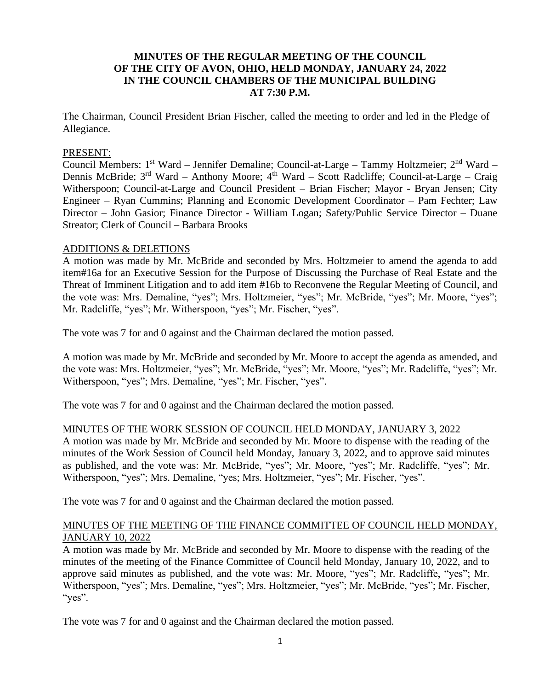# **MINUTES OF THE REGULAR MEETING OF THE COUNCIL OF THE CITY OF AVON, OHIO, HELD MONDAY, JANUARY 24, 2022 IN THE COUNCIL CHAMBERS OF THE MUNICIPAL BUILDING AT 7:30 P.M.**

The Chairman, Council President Brian Fischer, called the meeting to order and led in the Pledge of Allegiance.

## PRESENT:

Council Members: 1<sup>st</sup> Ward – Jennifer Demaline; Council-at-Large – Tammy Holtzmeier; 2<sup>nd</sup> Ward – Dennis McBride; 3<sup>rd</sup> Ward – Anthony Moore; 4<sup>th</sup> Ward – Scott Radcliffe; Council-at-Large – Craig Witherspoon; Council-at-Large and Council President – Brian Fischer; Mayor - Bryan Jensen; City Engineer – Ryan Cummins; Planning and Economic Development Coordinator – Pam Fechter; Law Director – John Gasior; Finance Director - William Logan; Safety/Public Service Director – Duane Streator; Clerk of Council – Barbara Brooks

## ADDITIONS & DELETIONS

A motion was made by Mr. McBride and seconded by Mrs. Holtzmeier to amend the agenda to add item#16a for an Executive Session for the Purpose of Discussing the Purchase of Real Estate and the Threat of Imminent Litigation and to add item #16b to Reconvene the Regular Meeting of Council, and the vote was: Mrs. Demaline, "yes"; Mrs. Holtzmeier, "yes"; Mr. McBride, "yes"; Mr. Moore, "yes"; Mr. Radcliffe, "yes"; Mr. Witherspoon, "yes"; Mr. Fischer, "yes".

The vote was 7 for and 0 against and the Chairman declared the motion passed.

A motion was made by Mr. McBride and seconded by Mr. Moore to accept the agenda as amended, and the vote was: Mrs. Holtzmeier, "yes"; Mr. McBride, "yes"; Mr. Moore, "yes"; Mr. Radcliffe, "yes"; Mr. Witherspoon, "yes"; Mrs. Demaline, "yes"; Mr. Fischer, "yes".

The vote was 7 for and 0 against and the Chairman declared the motion passed.

### MINUTES OF THE WORK SESSION OF COUNCIL HELD MONDAY, JANUARY 3, 2022

A motion was made by Mr. McBride and seconded by Mr. Moore to dispense with the reading of the minutes of the Work Session of Council held Monday, January 3, 2022, and to approve said minutes as published, and the vote was: Mr. McBride, "yes"; Mr. Moore, "yes"; Mr. Radcliffe, "yes"; Mr. Witherspoon, "yes"; Mrs. Demaline, "yes; Mrs. Holtzmeier, "yes"; Mr. Fischer, "yes".

The vote was 7 for and 0 against and the Chairman declared the motion passed.

## MINUTES OF THE MEETING OF THE FINANCE COMMITTEE OF COUNCIL HELD MONDAY, JANUARY 10, 2022

A motion was made by Mr. McBride and seconded by Mr. Moore to dispense with the reading of the minutes of the meeting of the Finance Committee of Council held Monday, January 10, 2022, and to approve said minutes as published, and the vote was: Mr. Moore, "yes"; Mr. Radcliffe, "yes"; Mr. Witherspoon, "yes"; Mrs. Demaline, "yes"; Mrs. Holtzmeier, "yes"; Mr. McBride, "yes"; Mr. Fischer, "yes".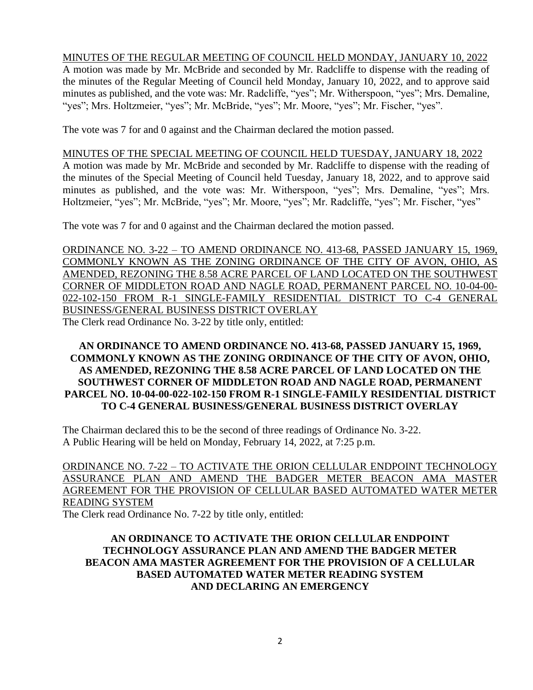# MINUTES OF THE REGULAR MEETING OF COUNCIL HELD MONDAY, JANUARY 10, 2022

A motion was made by Mr. McBride and seconded by Mr. Radcliffe to dispense with the reading of the minutes of the Regular Meeting of Council held Monday, January 10, 2022, and to approve said minutes as published, and the vote was: Mr. Radcliffe, "yes"; Mr. Witherspoon, "yes"; Mrs. Demaline, "yes"; Mrs. Holtzmeier, "yes"; Mr. McBride, "yes"; Mr. Moore, "yes"; Mr. Fischer, "yes".

The vote was 7 for and 0 against and the Chairman declared the motion passed.

## MINUTES OF THE SPECIAL MEETING OF COUNCIL HELD TUESDAY, JANUARY 18, 2022

A motion was made by Mr. McBride and seconded by Mr. Radcliffe to dispense with the reading of the minutes of the Special Meeting of Council held Tuesday, January 18, 2022, and to approve said minutes as published, and the vote was: Mr. Witherspoon, "yes"; Mrs. Demaline, "yes"; Mrs. Holtzmeier, "yes"; Mr. McBride, "yes"; Mr. Moore, "yes"; Mr. Radcliffe, "yes"; Mr. Fischer, "yes"

The vote was 7 for and 0 against and the Chairman declared the motion passed.

ORDINANCE NO. 3-22 – TO AMEND ORDINANCE NO. 413-68, PASSED JANUARY 15, 1969, COMMONLY KNOWN AS THE ZONING ORDINANCE OF THE CITY OF AVON, OHIO, AS AMENDED, REZONING THE 8.58 ACRE PARCEL OF LAND LOCATED ON THE SOUTHWEST CORNER OF MIDDLETON ROAD AND NAGLE ROAD, PERMANENT PARCEL NO. 10-04-00- 022-102-150 FROM R-1 SINGLE-FAMILY RESIDENTIAL DISTRICT TO C-4 GENERAL BUSINESS/GENERAL BUSINESS DISTRICT OVERLAY The Clerk read Ordinance No. 3-22 by title only, entitled:

# **AN ORDINANCE TO AMEND ORDINANCE NO. 413-68, PASSED JANUARY 15, 1969, COMMONLY KNOWN AS THE ZONING ORDINANCE OF THE CITY OF AVON, OHIO, AS AMENDED, REZONING THE 8.58 ACRE PARCEL OF LAND LOCATED ON THE SOUTHWEST CORNER OF MIDDLETON ROAD AND NAGLE ROAD, PERMANENT PARCEL NO. 10-04-00-022-102-150 FROM R-1 SINGLE-FAMILY RESIDENTIAL DISTRICT TO C-4 GENERAL BUSINESS/GENERAL BUSINESS DISTRICT OVERLAY**

The Chairman declared this to be the second of three readings of Ordinance No. 3-22. A Public Hearing will be held on Monday, February 14, 2022, at 7:25 p.m.

ORDINANCE NO. 7-22 – TO ACTIVATE THE ORION CELLULAR ENDPOINT TECHNOLOGY ASSURANCE PLAN AND AMEND THE BADGER METER BEACON AMA MASTER AGREEMENT FOR THE PROVISION OF CELLULAR BASED AUTOMATED WATER METER READING SYSTEM

The Clerk read Ordinance No. 7-22 by title only, entitled:

# **AN ORDINANCE TO ACTIVATE THE ORION CELLULAR ENDPOINT TECHNOLOGY ASSURANCE PLAN AND AMEND THE BADGER METER BEACON AMA MASTER AGREEMENT FOR THE PROVISION OF A CELLULAR BASED AUTOMATED WATER METER READING SYSTEM AND DECLARING AN EMERGENCY**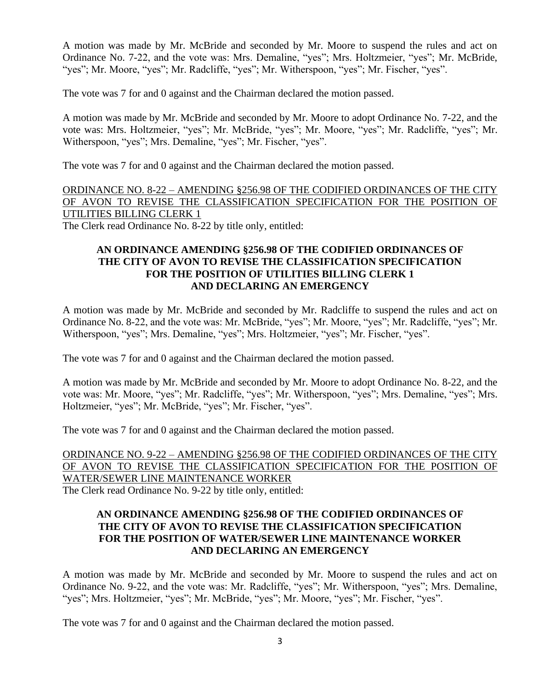A motion was made by Mr. McBride and seconded by Mr. Moore to suspend the rules and act on Ordinance No. 7-22, and the vote was: Mrs. Demaline, "yes"; Mrs. Holtzmeier, "yes"; Mr. McBride, "yes"; Mr. Moore, "yes"; Mr. Radcliffe, "yes"; Mr. Witherspoon, "yes"; Mr. Fischer, "yes".

The vote was 7 for and 0 against and the Chairman declared the motion passed.

A motion was made by Mr. McBride and seconded by Mr. Moore to adopt Ordinance No. 7-22, and the vote was: Mrs. Holtzmeier, "yes"; Mr. McBride, "yes"; Mr. Moore, "yes"; Mr. Radcliffe, "yes"; Mr. Witherspoon, "yes"; Mrs. Demaline, "yes"; Mr. Fischer, "yes".

The vote was 7 for and 0 against and the Chairman declared the motion passed.

ORDINANCE NO. 8-22 – AMENDING §256.98 OF THE CODIFIED ORDINANCES OF THE CITY OF AVON TO REVISE THE CLASSIFICATION SPECIFICATION FOR THE POSITION OF UTILITIES BILLING CLERK 1

The Clerk read Ordinance No. 8-22 by title only, entitled:

## **AN ORDINANCE AMENDING §256.98 OF THE CODIFIED ORDINANCES OF THE CITY OF AVON TO REVISE THE CLASSIFICATION SPECIFICATION FOR THE POSITION OF UTILITIES BILLING CLERK 1 AND DECLARING AN EMERGENCY**

A motion was made by Mr. McBride and seconded by Mr. Radcliffe to suspend the rules and act on Ordinance No. 8-22, and the vote was: Mr. McBride, "yes"; Mr. Moore, "yes"; Mr. Radcliffe, "yes"; Mr. Witherspoon, "yes"; Mrs. Demaline, "yes"; Mrs. Holtzmeier, "yes"; Mr. Fischer, "yes".

The vote was 7 for and 0 against and the Chairman declared the motion passed.

A motion was made by Mr. McBride and seconded by Mr. Moore to adopt Ordinance No. 8-22, and the vote was: Mr. Moore, "yes"; Mr. Radcliffe, "yes"; Mr. Witherspoon, "yes"; Mrs. Demaline, "yes"; Mrs. Holtzmeier, "yes"; Mr. McBride, "yes"; Mr. Fischer, "yes".

The vote was 7 for and 0 against and the Chairman declared the motion passed.

# ORDINANCE NO. 9-22 – AMENDING §256.98 OF THE CODIFIED ORDINANCES OF THE CITY OF AVON TO REVISE THE CLASSIFICATION SPECIFICATION FOR THE POSITION OF WATER/SEWER LINE MAINTENANCE WORKER

The Clerk read Ordinance No. 9-22 by title only, entitled:

# **AN ORDINANCE AMENDING §256.98 OF THE CODIFIED ORDINANCES OF THE CITY OF AVON TO REVISE THE CLASSIFICATION SPECIFICATION FOR THE POSITION OF WATER/SEWER LINE MAINTENANCE WORKER AND DECLARING AN EMERGENCY**

A motion was made by Mr. McBride and seconded by Mr. Moore to suspend the rules and act on Ordinance No. 9-22, and the vote was: Mr. Radcliffe, "yes"; Mr. Witherspoon, "yes"; Mrs. Demaline, "yes"; Mrs. Holtzmeier, "yes"; Mr. McBride, "yes"; Mr. Moore, "yes"; Mr. Fischer, "yes".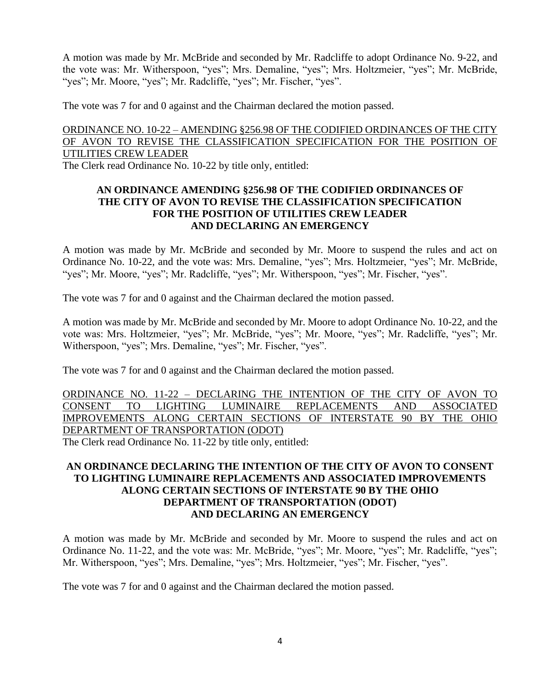A motion was made by Mr. McBride and seconded by Mr. Radcliffe to adopt Ordinance No. 9-22, and the vote was: Mr. Witherspoon, "yes"; Mrs. Demaline, "yes"; Mrs. Holtzmeier, "yes"; Mr. McBride, "yes"; Mr. Moore, "yes"; Mr. Radcliffe, "yes"; Mr. Fischer, "yes".

The vote was 7 for and 0 against and the Chairman declared the motion passed.

# ORDINANCE NO. 10-22 – AMENDING §256.98 OF THE CODIFIED ORDINANCES OF THE CITY OF AVON TO REVISE THE CLASSIFICATION SPECIFICATION FOR THE POSITION OF UTILITIES CREW LEADER

The Clerk read Ordinance No. 10-22 by title only, entitled:

## **AN ORDINANCE AMENDING §256.98 OF THE CODIFIED ORDINANCES OF THE CITY OF AVON TO REVISE THE CLASSIFICATION SPECIFICATION FOR THE POSITION OF UTILITIES CREW LEADER AND DECLARING AN EMERGENCY**

A motion was made by Mr. McBride and seconded by Mr. Moore to suspend the rules and act on Ordinance No. 10-22, and the vote was: Mrs. Demaline, "yes"; Mrs. Holtzmeier, "yes"; Mr. McBride, "yes"; Mr. Moore, "yes"; Mr. Radcliffe, "yes"; Mr. Witherspoon, "yes"; Mr. Fischer, "yes".

The vote was 7 for and 0 against and the Chairman declared the motion passed.

A motion was made by Mr. McBride and seconded by Mr. Moore to adopt Ordinance No. 10-22, and the vote was: Mrs. Holtzmeier, "yes"; Mr. McBride, "yes"; Mr. Moore, "yes"; Mr. Radcliffe, "yes"; Mr. Witherspoon, "yes"; Mrs. Demaline, "yes"; Mr. Fischer, "yes".

The vote was 7 for and 0 against and the Chairman declared the motion passed.

ORDINANCE NO. 11-22 – DECLARING THE INTENTION OF THE CITY OF AVON TO CONSENT TO LIGHTING LUMINAIRE REPLACEMENTS AND ASSOCIATED IMPROVEMENTS ALONG CERTAIN SECTIONS OF INTERSTATE 90 BY THE OHIO DEPARTMENT OF TRANSPORTATION (ODOT) The Clerk read Ordinance No. 11-22 by title only, entitled:

# **AN ORDINANCE DECLARING THE INTENTION OF THE CITY OF AVON TO CONSENT TO LIGHTING LUMINAIRE REPLACEMENTS AND ASSOCIATED IMPROVEMENTS ALONG CERTAIN SECTIONS OF INTERSTATE 90 BY THE OHIO DEPARTMENT OF TRANSPORTATION (ODOT) AND DECLARING AN EMERGENCY**

A motion was made by Mr. McBride and seconded by Mr. Moore to suspend the rules and act on Ordinance No. 11-22, and the vote was: Mr. McBride, "yes"; Mr. Moore, "yes"; Mr. Radcliffe, "yes"; Mr. Witherspoon, "yes"; Mrs. Demaline, "yes"; Mrs. Holtzmeier, "yes"; Mr. Fischer, "yes".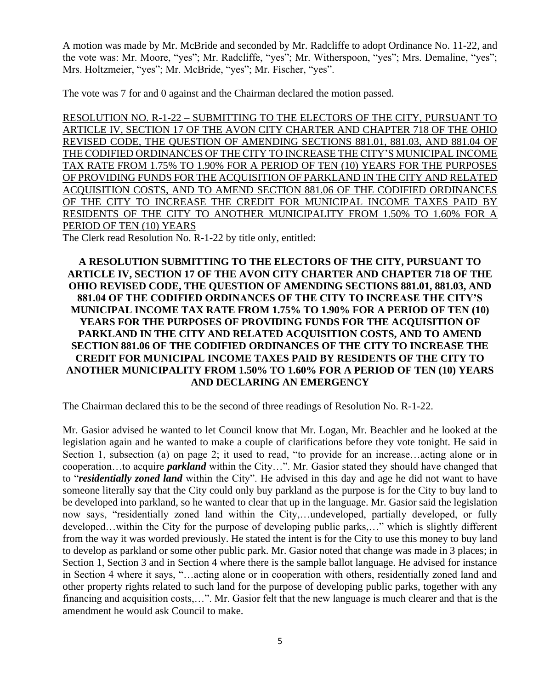A motion was made by Mr. McBride and seconded by Mr. Radcliffe to adopt Ordinance No. 11-22, and the vote was: Mr. Moore, "yes"; Mr. Radcliffe, "yes"; Mr. Witherspoon, "yes"; Mrs. Demaline, "yes"; Mrs. Holtzmeier, "yes"; Mr. McBride, "yes"; Mr. Fischer, "yes".

The vote was 7 for and 0 against and the Chairman declared the motion passed.

RESOLUTION NO. R-1-22 – SUBMITTING TO THE ELECTORS OF THE CITY, PURSUANT TO ARTICLE IV, SECTION 17 OF THE AVON CITY CHARTER AND CHAPTER 718 OF THE OHIO REVISED CODE, THE QUESTION OF AMENDING SECTIONS 881.01, 881.03, AND 881.04 OF THE CODIFIED ORDINANCES OF THE CITY TO INCREASE THE CITY'S MUNICIPAL INCOME TAX RATE FROM 1.75% TO 1.90% FOR A PERIOD OF TEN (10) YEARS FOR THE PURPOSES OF PROVIDING FUNDS FOR THE ACQUISITION OF PARKLAND IN THE CITY AND RELATED ACQUISITION COSTS, AND TO AMEND SECTION 881.06 OF THE CODIFIED ORDINANCES OF THE CITY TO INCREASE THE CREDIT FOR MUNICIPAL INCOME TAXES PAID BY RESIDENTS OF THE CITY TO ANOTHER MUNICIPALITY FROM 1.50% TO 1.60% FOR A PERIOD OF TEN (10) YEARS

The Clerk read Resolution No. R-1-22 by title only, entitled:

**A RESOLUTION SUBMITTING TO THE ELECTORS OF THE CITY, PURSUANT TO ARTICLE IV, SECTION 17 OF THE AVON CITY CHARTER AND CHAPTER 718 OF THE OHIO REVISED CODE, THE QUESTION OF AMENDING SECTIONS 881.01, 881.03, AND 881.04 OF THE CODIFIED ORDINANCES OF THE CITY TO INCREASE THE CITY'S MUNICIPAL INCOME TAX RATE FROM 1.75% TO 1.90% FOR A PERIOD OF TEN (10) YEARS FOR THE PURPOSES OF PROVIDING FUNDS FOR THE ACQUISITION OF PARKLAND IN THE CITY AND RELATED ACQUISITION COSTS, AND TO AMEND SECTION 881.06 OF THE CODIFIED ORDINANCES OF THE CITY TO INCREASE THE CREDIT FOR MUNICIPAL INCOME TAXES PAID BY RESIDENTS OF THE CITY TO ANOTHER MUNICIPALITY FROM 1.50% TO 1.60% FOR A PERIOD OF TEN (10) YEARS AND DECLARING AN EMERGENCY**

The Chairman declared this to be the second of three readings of Resolution No. R-1-22.

Mr. Gasior advised he wanted to let Council know that Mr. Logan, Mr. Beachler and he looked at the legislation again and he wanted to make a couple of clarifications before they vote tonight. He said in Section 1, subsection (a) on page 2; it used to read, "to provide for an increase…acting alone or in cooperation…to acquire *parkland* within the City…". Mr. Gasior stated they should have changed that to "*residentially zoned land* within the City". He advised in this day and age he did not want to have someone literally say that the City could only buy parkland as the purpose is for the City to buy land to be developed into parkland, so he wanted to clear that up in the language. Mr. Gasior said the legislation now says, "residentially zoned land within the City,…undeveloped, partially developed, or fully developed…within the City for the purpose of developing public parks,…" which is slightly different from the way it was worded previously. He stated the intent is for the City to use this money to buy land to develop as parkland or some other public park. Mr. Gasior noted that change was made in 3 places; in Section 1, Section 3 and in Section 4 where there is the sample ballot language. He advised for instance in Section 4 where it says, "…acting alone or in cooperation with others, residentially zoned land and other property rights related to such land for the purpose of developing public parks, together with any financing and acquisition costs,…". Mr. Gasior felt that the new language is much clearer and that is the amendment he would ask Council to make.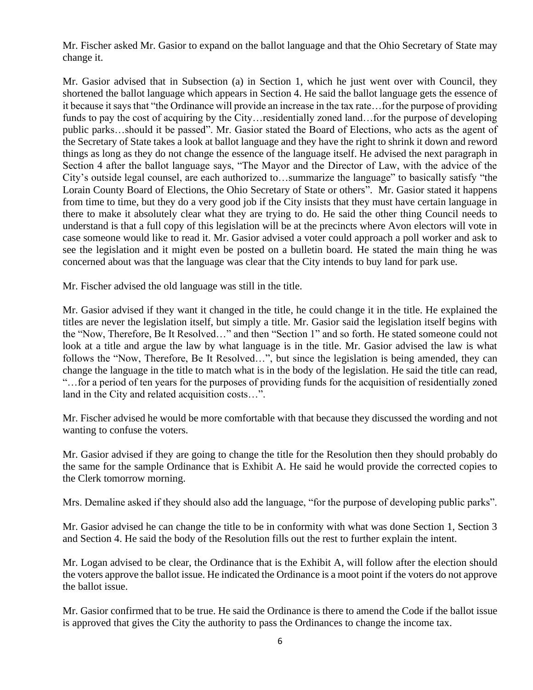Mr. Fischer asked Mr. Gasior to expand on the ballot language and that the Ohio Secretary of State may change it.

Mr. Gasior advised that in Subsection (a) in Section 1, which he just went over with Council, they shortened the ballot language which appears in Section 4. He said the ballot language gets the essence of it because it says that "the Ordinance will provide an increase in the tax rate…for the purpose of providing funds to pay the cost of acquiring by the City…residentially zoned land…for the purpose of developing public parks…should it be passed". Mr. Gasior stated the Board of Elections, who acts as the agent of the Secretary of State takes a look at ballot language and they have the right to shrink it down and reword things as long as they do not change the essence of the language itself. He advised the next paragraph in Section 4 after the ballot language says, "The Mayor and the Director of Law, with the advice of the City's outside legal counsel, are each authorized to…summarize the language" to basically satisfy "the Lorain County Board of Elections, the Ohio Secretary of State or others". Mr. Gasior stated it happens from time to time, but they do a very good job if the City insists that they must have certain language in there to make it absolutely clear what they are trying to do. He said the other thing Council needs to understand is that a full copy of this legislation will be at the precincts where Avon electors will vote in case someone would like to read it. Mr. Gasior advised a voter could approach a poll worker and ask to see the legislation and it might even be posted on a bulletin board. He stated the main thing he was concerned about was that the language was clear that the City intends to buy land for park use.

Mr. Fischer advised the old language was still in the title.

Mr. Gasior advised if they want it changed in the title, he could change it in the title. He explained the titles are never the legislation itself, but simply a title. Mr. Gasior said the legislation itself begins with the "Now, Therefore, Be It Resolved…" and then "Section 1" and so forth. He stated someone could not look at a title and argue the law by what language is in the title. Mr. Gasior advised the law is what follows the "Now, Therefore, Be It Resolved…", but since the legislation is being amended, they can change the language in the title to match what is in the body of the legislation. He said the title can read, "…for a period of ten years for the purposes of providing funds for the acquisition of residentially zoned land in the City and related acquisition costs…".

Mr. Fischer advised he would be more comfortable with that because they discussed the wording and not wanting to confuse the voters.

Mr. Gasior advised if they are going to change the title for the Resolution then they should probably do the same for the sample Ordinance that is Exhibit A. He said he would provide the corrected copies to the Clerk tomorrow morning.

Mrs. Demaline asked if they should also add the language, "for the purpose of developing public parks".

Mr. Gasior advised he can change the title to be in conformity with what was done Section 1, Section 3 and Section 4. He said the body of the Resolution fills out the rest to further explain the intent.

Mr. Logan advised to be clear, the Ordinance that is the Exhibit A, will follow after the election should the voters approve the ballot issue. He indicated the Ordinance is a moot point if the voters do not approve the ballot issue.

Mr. Gasior confirmed that to be true. He said the Ordinance is there to amend the Code if the ballot issue is approved that gives the City the authority to pass the Ordinances to change the income tax.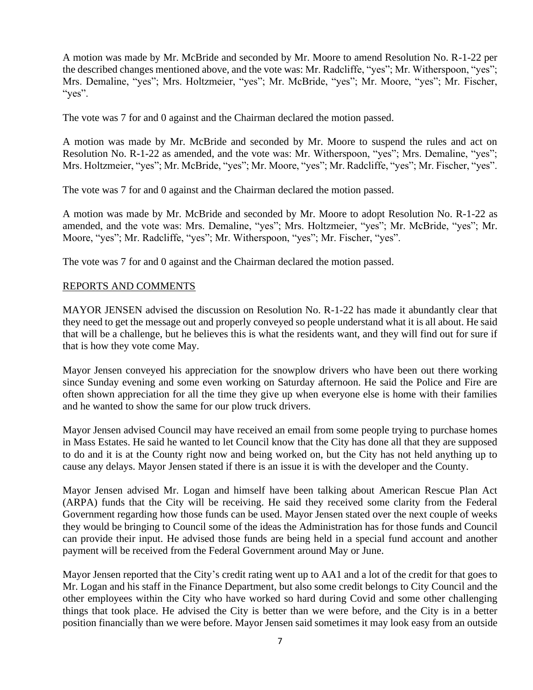A motion was made by Mr. McBride and seconded by Mr. Moore to amend Resolution No. R-1-22 per the described changes mentioned above, and the vote was: Mr. Radcliffe, "yes"; Mr. Witherspoon, "yes"; Mrs. Demaline, "yes"; Mrs. Holtzmeier, "yes"; Mr. McBride, "yes"; Mr. Moore, "yes"; Mr. Fischer, "yes".

The vote was 7 for and 0 against and the Chairman declared the motion passed.

A motion was made by Mr. McBride and seconded by Mr. Moore to suspend the rules and act on Resolution No. R-1-22 as amended, and the vote was: Mr. Witherspoon, "yes"; Mrs. Demaline, "yes"; Mrs. Holtzmeier, "yes"; Mr. McBride, "yes"; Mr. Moore, "yes"; Mr. Radcliffe, "yes"; Mr. Fischer, "yes".

The vote was 7 for and 0 against and the Chairman declared the motion passed.

A motion was made by Mr. McBride and seconded by Mr. Moore to adopt Resolution No. R-1-22 as amended, and the vote was: Mrs. Demaline, "yes"; Mrs. Holtzmeier, "yes"; Mr. McBride, "yes"; Mr. Moore, "yes"; Mr. Radcliffe, "yes"; Mr. Witherspoon, "yes"; Mr. Fischer, "yes".

The vote was 7 for and 0 against and the Chairman declared the motion passed.

## REPORTS AND COMMENTS

MAYOR JENSEN advised the discussion on Resolution No. R-1-22 has made it abundantly clear that they need to get the message out and properly conveyed so people understand what it is all about. He said that will be a challenge, but he believes this is what the residents want, and they will find out for sure if that is how they vote come May.

Mayor Jensen conveyed his appreciation for the snowplow drivers who have been out there working since Sunday evening and some even working on Saturday afternoon. He said the Police and Fire are often shown appreciation for all the time they give up when everyone else is home with their families and he wanted to show the same for our plow truck drivers.

Mayor Jensen advised Council may have received an email from some people trying to purchase homes in Mass Estates. He said he wanted to let Council know that the City has done all that they are supposed to do and it is at the County right now and being worked on, but the City has not held anything up to cause any delays. Mayor Jensen stated if there is an issue it is with the developer and the County.

Mayor Jensen advised Mr. Logan and himself have been talking about American Rescue Plan Act (ARPA) funds that the City will be receiving. He said they received some clarity from the Federal Government regarding how those funds can be used. Mayor Jensen stated over the next couple of weeks they would be bringing to Council some of the ideas the Administration has for those funds and Council can provide their input. He advised those funds are being held in a special fund account and another payment will be received from the Federal Government around May or June.

Mayor Jensen reported that the City's credit rating went up to AA1 and a lot of the credit for that goes to Mr. Logan and his staff in the Finance Department, but also some credit belongs to City Council and the other employees within the City who have worked so hard during Covid and some other challenging things that took place. He advised the City is better than we were before, and the City is in a better position financially than we were before. Mayor Jensen said sometimes it may look easy from an outside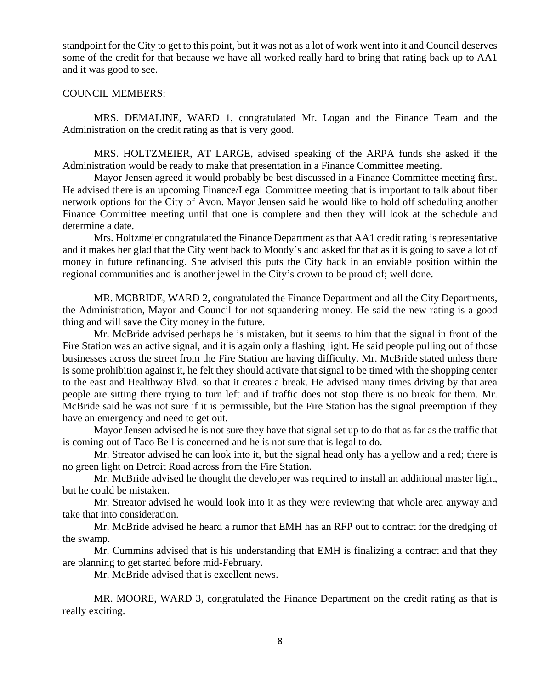standpoint for the City to get to this point, but it was not as a lot of work went into it and Council deserves some of the credit for that because we have all worked really hard to bring that rating back up to AA1 and it was good to see.

#### COUNCIL MEMBERS:

MRS. DEMALINE, WARD 1, congratulated Mr. Logan and the Finance Team and the Administration on the credit rating as that is very good.

MRS. HOLTZMEIER, AT LARGE, advised speaking of the ARPA funds she asked if the Administration would be ready to make that presentation in a Finance Committee meeting.

Mayor Jensen agreed it would probably be best discussed in a Finance Committee meeting first. He advised there is an upcoming Finance/Legal Committee meeting that is important to talk about fiber network options for the City of Avon. Mayor Jensen said he would like to hold off scheduling another Finance Committee meeting until that one is complete and then they will look at the schedule and determine a date.

Mrs. Holtzmeier congratulated the Finance Department as that AA1 credit rating is representative and it makes her glad that the City went back to Moody's and asked for that as it is going to save a lot of money in future refinancing. She advised this puts the City back in an enviable position within the regional communities and is another jewel in the City's crown to be proud of; well done.

MR. MCBRIDE, WARD 2, congratulated the Finance Department and all the City Departments, the Administration, Mayor and Council for not squandering money. He said the new rating is a good thing and will save the City money in the future.

Mr. McBride advised perhaps he is mistaken, but it seems to him that the signal in front of the Fire Station was an active signal, and it is again only a flashing light. He said people pulling out of those businesses across the street from the Fire Station are having difficulty. Mr. McBride stated unless there is some prohibition against it, he felt they should activate that signal to be timed with the shopping center to the east and Healthway Blvd. so that it creates a break. He advised many times driving by that area people are sitting there trying to turn left and if traffic does not stop there is no break for them. Mr. McBride said he was not sure if it is permissible, but the Fire Station has the signal preemption if they have an emergency and need to get out.

Mayor Jensen advised he is not sure they have that signal set up to do that as far as the traffic that is coming out of Taco Bell is concerned and he is not sure that is legal to do.

Mr. Streator advised he can look into it, but the signal head only has a yellow and a red; there is no green light on Detroit Road across from the Fire Station.

Mr. McBride advised he thought the developer was required to install an additional master light, but he could be mistaken.

Mr. Streator advised he would look into it as they were reviewing that whole area anyway and take that into consideration.

Mr. McBride advised he heard a rumor that EMH has an RFP out to contract for the dredging of the swamp.

Mr. Cummins advised that is his understanding that EMH is finalizing a contract and that they are planning to get started before mid-February.

Mr. McBride advised that is excellent news.

MR. MOORE, WARD 3, congratulated the Finance Department on the credit rating as that is really exciting.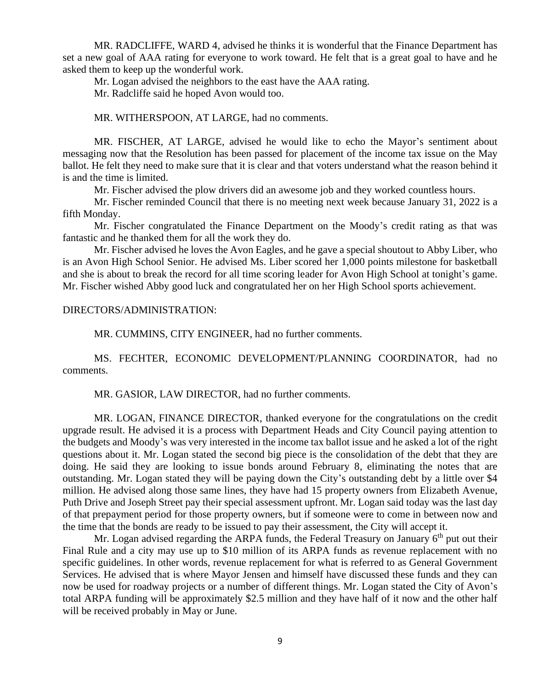MR. RADCLIFFE, WARD 4, advised he thinks it is wonderful that the Finance Department has set a new goal of AAA rating for everyone to work toward. He felt that is a great goal to have and he asked them to keep up the wonderful work.

Mr. Logan advised the neighbors to the east have the AAA rating.

Mr. Radcliffe said he hoped Avon would too.

MR. WITHERSPOON, AT LARGE, had no comments.

MR. FISCHER, AT LARGE, advised he would like to echo the Mayor's sentiment about messaging now that the Resolution has been passed for placement of the income tax issue on the May ballot. He felt they need to make sure that it is clear and that voters understand what the reason behind it is and the time is limited.

Mr. Fischer advised the plow drivers did an awesome job and they worked countless hours.

Mr. Fischer reminded Council that there is no meeting next week because January 31, 2022 is a fifth Monday.

Mr. Fischer congratulated the Finance Department on the Moody's credit rating as that was fantastic and he thanked them for all the work they do.

Mr. Fischer advised he loves the Avon Eagles, and he gave a special shoutout to Abby Liber, who is an Avon High School Senior. He advised Ms. Liber scored her 1,000 points milestone for basketball and she is about to break the record for all time scoring leader for Avon High School at tonight's game. Mr. Fischer wished Abby good luck and congratulated her on her High School sports achievement.

#### DIRECTORS/ADMINISTRATION:

MR. CUMMINS, CITY ENGINEER, had no further comments.

MS. FECHTER, ECONOMIC DEVELOPMENT/PLANNING COORDINATOR, had no comments.

MR. GASIOR, LAW DIRECTOR, had no further comments.

MR. LOGAN, FINANCE DIRECTOR, thanked everyone for the congratulations on the credit upgrade result. He advised it is a process with Department Heads and City Council paying attention to the budgets and Moody's was very interested in the income tax ballot issue and he asked a lot of the right questions about it. Mr. Logan stated the second big piece is the consolidation of the debt that they are doing. He said they are looking to issue bonds around February 8, eliminating the notes that are outstanding. Mr. Logan stated they will be paying down the City's outstanding debt by a little over \$4 million. He advised along those same lines, they have had 15 property owners from Elizabeth Avenue, Puth Drive and Joseph Street pay their special assessment upfront. Mr. Logan said today was the last day of that prepayment period for those property owners, but if someone were to come in between now and the time that the bonds are ready to be issued to pay their assessment, the City will accept it.

Mr. Logan advised regarding the ARPA funds, the Federal Treasury on January 6<sup>th</sup> put out their Final Rule and a city may use up to \$10 million of its ARPA funds as revenue replacement with no specific guidelines. In other words, revenue replacement for what is referred to as General Government Services. He advised that is where Mayor Jensen and himself have discussed these funds and they can now be used for roadway projects or a number of different things. Mr. Logan stated the City of Avon's total ARPA funding will be approximately \$2.5 million and they have half of it now and the other half will be received probably in May or June.